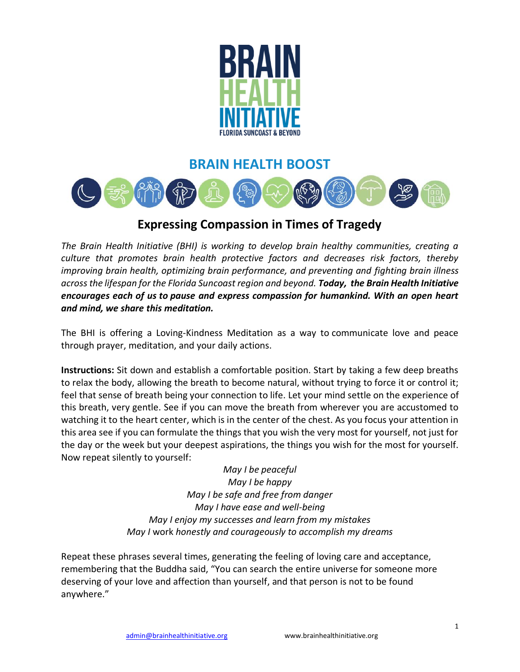

## **BRAIN HEALTH BOOST**



## **Expressing Compassion in Times of Tragedy**

*The Brain Health Initiative (BHI) is working to develop brain healthy communities, creating a culture that promotes brain health protective factors and decreases risk factors, thereby improving brain health, optimizing brain performance, and preventing and fighting brain illness across the lifespan for the Florida Suncoast region and beyond. Today, the Brain Health Initiative encourages each of us to pause and express compassion for humankind. With an open heart and mind, we share this meditation.*

The BHI is offering a Loving-Kindness Meditation as a way to communicate love and peace through prayer, meditation, and your daily actions.

**Instructions:** Sit down and establish a comfortable position. Start by taking a few deep breaths to relax the body, allowing the breath to become natural, without trying to force it or control it; feel that sense of breath being your connection to life. Let your mind settle on the experience of this breath, very gentle. See if you can move the breath from wherever you are accustomed to watching it to the heart center, which is in the center of the chest. As you focus your attention in this area see if you can formulate the things that you wish the very most for yourself, not just for the day or the week but your deepest aspirations, the things you wish for the most for yourself. Now repeat silently to yourself:

> *May I be peaceful May I be happy May I be safe and free from danger May I have ease and well-being May I enjoy my successes and learn from my mistakes May I* work *honestly and courageously to accomplish my dreams*

Repeat these phrases several times, generating the feeling of loving care and acceptance, remembering that the Buddha said, "You can search the entire universe for someone more deserving of your love and affection than yourself, and that person is not to be found anywhere."